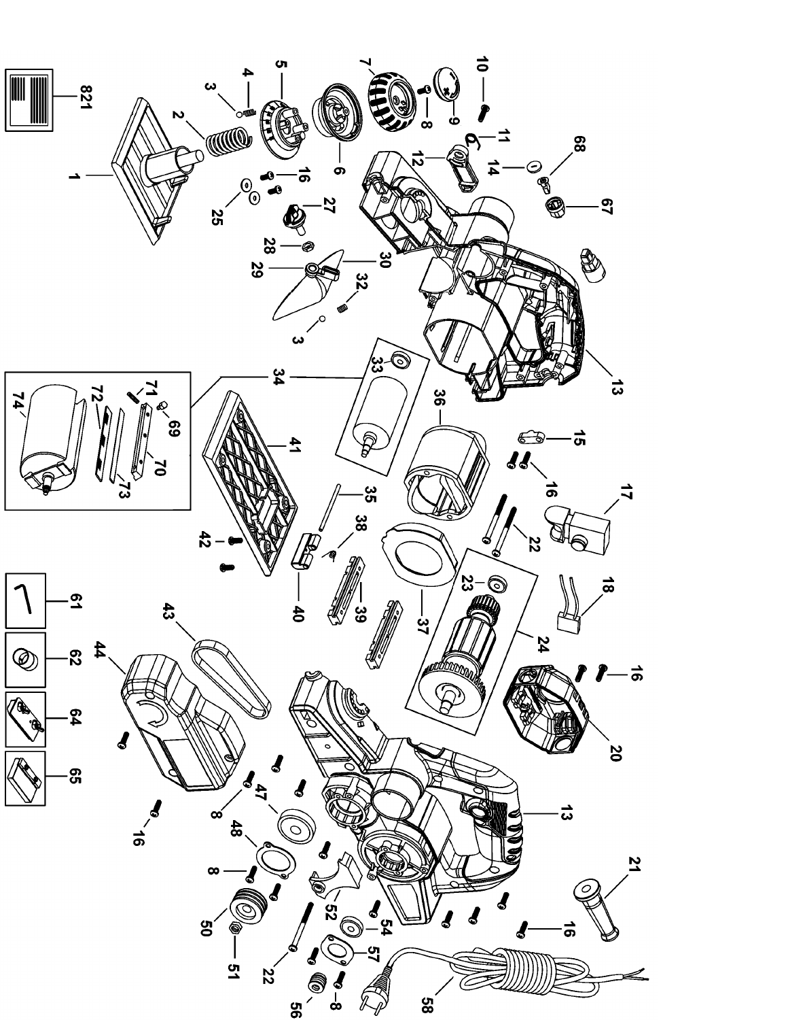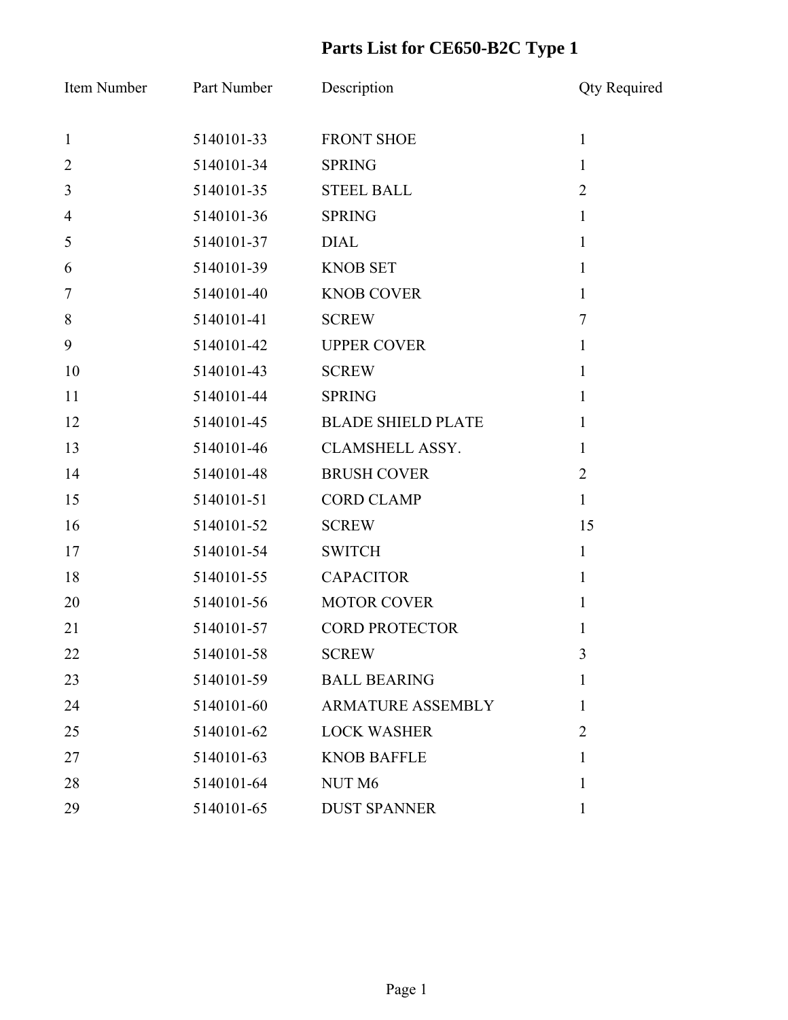## **Parts List for CE650-B2C Type 1**

| Item Number             | Part Number | Description               | <b>Qty Required</b> |
|-------------------------|-------------|---------------------------|---------------------|
| $\mathbf{1}$            | 5140101-33  | <b>FRONT SHOE</b>         | $\mathbf{1}$        |
| $\overline{2}$          | 5140101-34  | <b>SPRING</b>             | $\mathbf{1}$        |
| $\overline{\mathbf{3}}$ | 5140101-35  | <b>STEEL BALL</b>         | $\overline{2}$      |
| $\overline{4}$          | 5140101-36  | <b>SPRING</b>             | $\mathbf{1}$        |
| 5                       | 5140101-37  | <b>DIAL</b>               | $\mathbf{1}$        |
| 6                       | 5140101-39  | <b>KNOB SET</b>           | $\mathbf{1}$        |
| $\boldsymbol{7}$        | 5140101-40  | <b>KNOB COVER</b>         | $\mathbf{1}$        |
| 8                       | 5140101-41  | <b>SCREW</b>              | $\tau$              |
| 9                       | 5140101-42  | <b>UPPER COVER</b>        | $\mathbf{1}$        |
| 10                      | 5140101-43  | <b>SCREW</b>              | $\mathbf{1}$        |
| 11                      | 5140101-44  | <b>SPRING</b>             | $\mathbf{1}$        |
| 12                      | 5140101-45  | <b>BLADE SHIELD PLATE</b> | $\mathbf{1}$        |
| 13                      | 5140101-46  | CLAMSHELL ASSY.           | $\mathbf{1}$        |
| 14                      | 5140101-48  | <b>BRUSH COVER</b>        | $\overline{2}$      |
| 15                      | 5140101-51  | <b>CORD CLAMP</b>         | $\mathbf{1}$        |
| 16                      | 5140101-52  | <b>SCREW</b>              | 15                  |
| 17                      | 5140101-54  | <b>SWITCH</b>             | $\mathbf{1}$        |
| 18                      | 5140101-55  | <b>CAPACITOR</b>          | $\mathbf{1}$        |
| 20                      | 5140101-56  | <b>MOTOR COVER</b>        | $\mathbf{1}$        |
| 21                      | 5140101-57  | <b>CORD PROTECTOR</b>     | $\mathbf{1}$        |
| 22                      | 5140101-58  | <b>SCREW</b>              | 3                   |
| 23                      | 5140101-59  | <b>BALL BEARING</b>       | 1                   |
| 24                      | 5140101-60  | <b>ARMATURE ASSEMBLY</b>  | 1                   |
| 25                      | 5140101-62  | <b>LOCK WASHER</b>        | $\overline{2}$      |
| 27                      | 5140101-63  | <b>KNOB BAFFLE</b>        | 1                   |
| 28                      | 5140101-64  | NUT M6                    | 1                   |
| 29                      | 5140101-65  | <b>DUST SPANNER</b>       | $\mathbf{1}$        |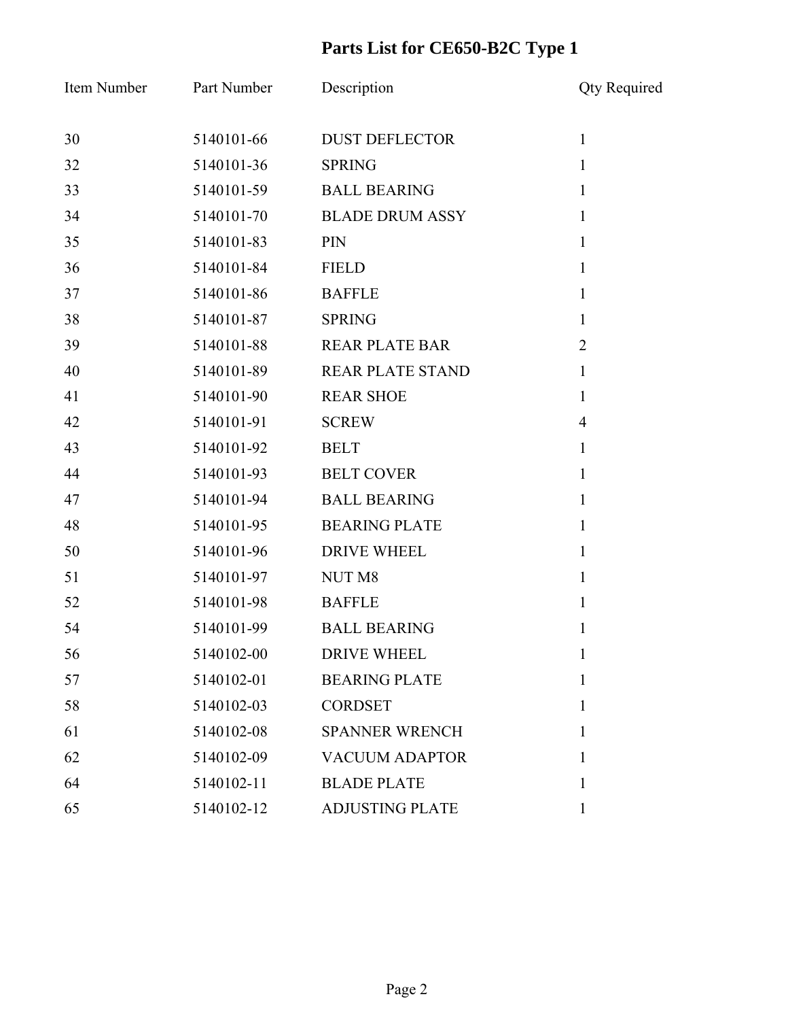## **Parts List for CE650-B2C Type 1**

| Item Number | Part Number | Description             | <b>Qty Required</b> |
|-------------|-------------|-------------------------|---------------------|
| 30          | 5140101-66  | <b>DUST DEFLECTOR</b>   | $\mathbf{1}$        |
| 32          | 5140101-36  | <b>SPRING</b>           | $\mathbf{1}$        |
| 33          | 5140101-59  | <b>BALL BEARING</b>     | $\mathbf{1}$        |
| 34          | 5140101-70  | <b>BLADE DRUM ASSY</b>  | $\mathbf{1}$        |
| 35          | 5140101-83  | <b>PIN</b>              | $\mathbf{1}$        |
| 36          | 5140101-84  | <b>FIELD</b>            | $\mathbf{1}$        |
| 37          | 5140101-86  | <b>BAFFLE</b>           | $\mathbf{1}$        |
| 38          | 5140101-87  | <b>SPRING</b>           | $\mathbf{1}$        |
| 39          | 5140101-88  | <b>REAR PLATE BAR</b>   | $\overline{2}$      |
| 40          | 5140101-89  | <b>REAR PLATE STAND</b> | $\mathbf{1}$        |
| 41          | 5140101-90  | <b>REAR SHOE</b>        | $\mathbf{1}$        |
| 42          | 5140101-91  | <b>SCREW</b>            | $\overline{4}$      |
| 43          | 5140101-92  | <b>BELT</b>             | $\mathbf{1}$        |
| 44          | 5140101-93  | <b>BELT COVER</b>       | $\mathbf{1}$        |
| 47          | 5140101-94  | <b>BALL BEARING</b>     | $\mathbf{1}$        |
| 48          | 5140101-95  | <b>BEARING PLATE</b>    | $\mathbf{1}$        |
| 50          | 5140101-96  | <b>DRIVE WHEEL</b>      | $\mathbf{1}$        |
| 51          | 5140101-97  | NUT M8                  | $\mathbf{1}$        |
| 52          | 5140101-98  | <b>BAFFLE</b>           | $\mathbf{1}$        |
| 54          | 5140101-99  | <b>BALL BEARING</b>     | 1                   |
| 56          | 5140102-00  | <b>DRIVE WHEEL</b>      | $\mathbf{I}$        |
| 57          | 5140102-01  | <b>BEARING PLATE</b>    | $\mathbf{1}$        |
| 58          | 5140102-03  | <b>CORDSET</b>          | 1                   |
| 61          | 5140102-08  | <b>SPANNER WRENCH</b>   | 1                   |
| 62          | 5140102-09  | <b>VACUUM ADAPTOR</b>   | 1                   |
| 64          | 5140102-11  | <b>BLADE PLATE</b>      | 1                   |
| 65          | 5140102-12  | <b>ADJUSTING PLATE</b>  | 1                   |